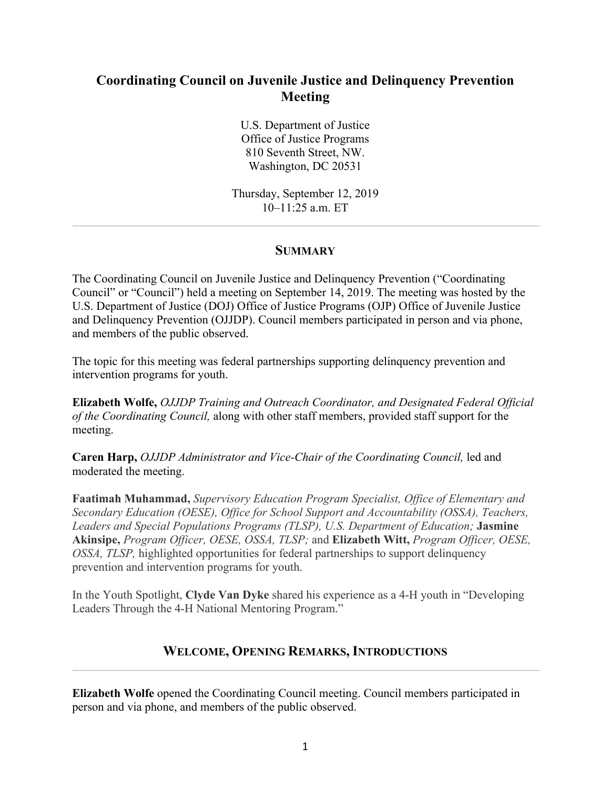# **Coordinating Council on Juvenile Justice and Delinquency Prevention Meeting**

U.S. Department of Justice Office of Justice Programs 810 Seventh Street, NW. Washington, DC 20531

Thursday, September 12, 2019 10–11:25 a.m. ET

## **SUMMARY**

The Coordinating Council on Juvenile Justice and Delinquency Prevention ("Coordinating Council" or "Council") held a meeting on September 14, 2019. The meeting was hosted by the U.S. Department of Justice (DOJ) Office of Justice Programs (OJP) Office of Juvenile Justice and Delinquency Prevention (OJJDP). Council members participated in person and via phone, and members of the public observed.

The topic for this meeting was federal partnerships supporting delinquency prevention and intervention programs for youth.

**Elizabeth Wolfe,** *OJJDP Training and Outreach Coordinator, and Designated Federal Official of the Coordinating Council,* along with other staff members, provided staff support for the meeting.

**Caren Harp,** *OJJDP Administrator and Vice-Chair of the Coordinating Council,* led and moderated the meeting.

**Faatimah Muhammad,** *Supervisory Education Program Specialist, Office of Elementary and Secondary Education (OESE), Office for School Support and Accountability ( OSSA), Teachers,*  Leaders and Special Populations Programs (TLSP), U.S. Department of Education; Jasmine **Akinsipe,** *Program Officer, OESE, OSSA, TLSP;* and **Elizabeth Witt,** *Program Officer, OESE, OSSA, TLSP,* highlighted opportunities for federal partnerships to support delinquency prevention and intervention programs for youth.

In the Youth Spotlight, **Clyde Van Dyke** shared his experience as a 4-H youth in "Developing Leaders Through the 4-H National Mentoring Program."

# **WELCOME, OPENING REMARKS, INTRODUCTIONS**

**Elizabeth Wolfe** opened the Coordinating Council meeting. Council members participated in person and via phone, and members of the public observed.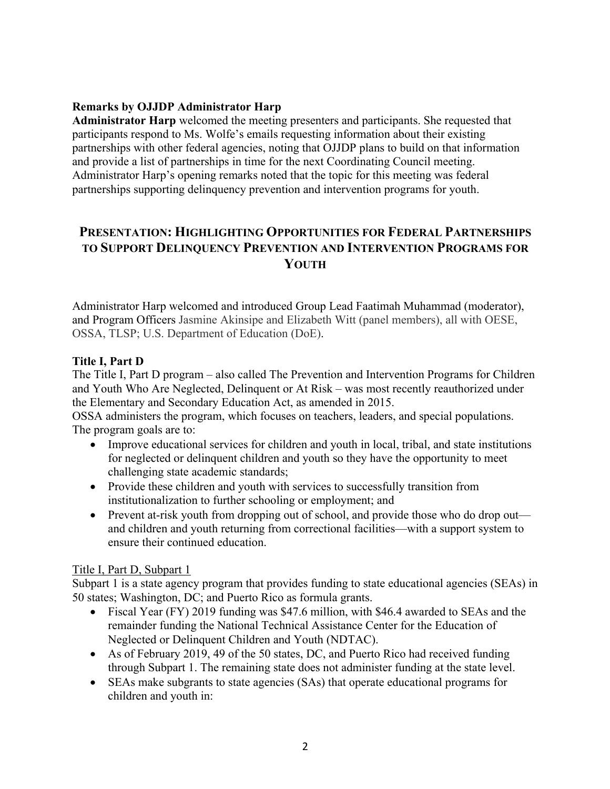## **Remarks by OJJDP Administrator Harp**

 participants respond to Ms. Wolfe's emails requesting information about their existing Administrator Harp's opening remarks noted that the topic for this meeting was federal **Administrator Harp** welcomed the meeting presenters and participants. She requested that partnerships with other federal agencies, noting that OJJDP plans to build on that information and provide a list of partnerships in time for the next Coordinating Council meeting. partnerships supporting delinquency prevention and intervention programs for youth.

# **PRESENTATION: HIGHLIGHTING OPPORTUNITIES FOR FEDERAL PARTNERSHIPS TO SUPPORT DELINQUENCY PREVENTION AND INTERVENTION PROGRAMS FOR YOUTH**

 and Program Officers Jasmine Akinsipe and Elizabeth Witt (panel members), all with OESE, OSSA, TLSP; U.S. Department of Education (DoE). Administrator Harp welcomed and introduced Group Lead Faatimah Muhammad (moderator),

### **Title I, Part D**

 The Title I, Part D program – also called The Prevention and Intervention Programs for Children and Youth Who Are Neglected, Delinquent or At Risk – was most recently reauthorized under the Elementary and Secondary Education Act, as amended in 2015.

 The program goals are to: OSSA administers the program, which focuses on teachers, leaders, and special populations.

- Improve educational services for children and youth in local, tribal, and state institutions for neglected or delinquent children and youth so they have the opportunity to meet challenging state academic standards;
- Provide these children and youth with services to successfully transition from institutionalization to further schooling or employment; and
- Prevent at-risk youth from dropping out of school, and provide those who do drop out and children and youth returning from correctional facilities—with a support system to ensure their continued education.

#### Title I, Part D, Subpart 1

Subpart 1 is a state agency program that provides funding to state educational agencies (SEAs) in 50 states; Washington, DC; and Puerto Rico as formula grants.

- Fiscal Year (FY) 2019 funding was \$47.6 million, with \$46.4 awarded to SEAs and the remainder funding the National Technical Assistance Center for the Education of Neglected or Delinquent Children and Youth (NDTAC).
- As of February 2019, 49 of the 50 states, DC, and Puerto Rico had received funding through Subpart 1. The remaining state does not administer funding at the state level.
- SEAs make subgrants to state agencies (SAs) that operate educational programs for children and youth in: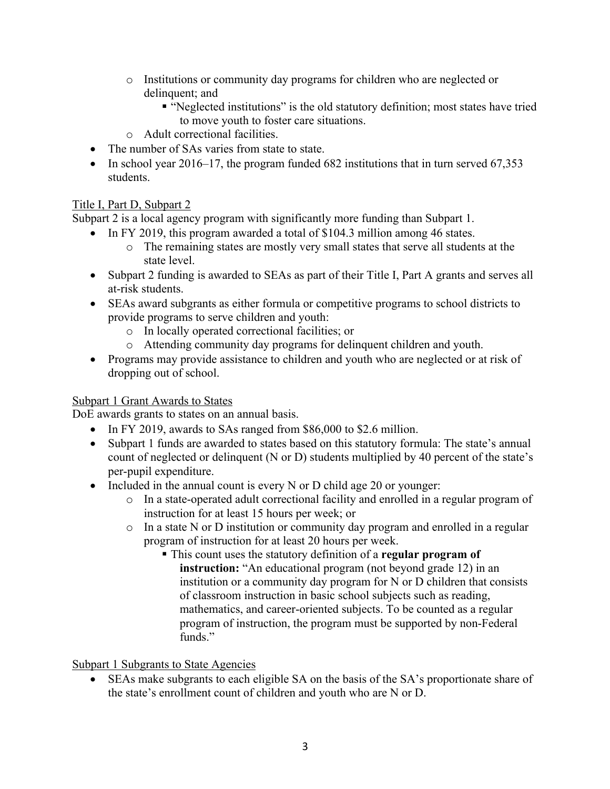- o Institutions or community day programs for children who are neglected or delinquent; and
	- "Neglected institutions" is the old statutory definition; most states have tried to move youth to foster care situations.
- o Adult correctional facilities.
- The number of SAs varies from state to state.
- In school year 2016–17, the program funded 682 institutions that in turn served 67,353 students.

## Title I, Part D, Subpart 2

Subpart 2 is a local agency program with significantly more funding than Subpart 1.

- In FY 2019, this program awarded a total of \$104.3 million among 46 states.
	- o The remaining states are mostly very small states that serve all students at the state level.
- Subpart 2 funding is awarded to SEAs as part of their Title I, Part A grants and serves all at-risk students.
- SEAs award subgrants as either formula or competitive programs to school districts to provide programs to serve children and youth:
	- o In locally operated correctional facilities; or
	- o Attending community day programs for delinquent children and youth.
- Programs may provide assistance to children and youth who are neglected or at risk of dropping out of school.

## Subpart 1 Grant Awards to States

DoE awards grants to states on an annual basis.

- In FY 2019, awards to SAs ranged from \$86,000 to \$2.6 million.
- Subpart 1 funds are awarded to states based on this statutory formula: The state's annual count of neglected or delinquent (N or D) students multiplied by 40 percent of the state's per-pupil expenditure.
- Included in the annual count is every N or D child age 20 or younger:
	- o In a state-operated adult correctional facility and enrolled in a regular program of instruction for at least 15 hours per week; or
	- o In a state N or D institution or community day program and enrolled in a regular program of instruction for at least 20 hours per week.
		- This count uses the statutory definition of a **regular program of instruction:** "An educational program (not beyond grade 12) in an institution or a community day program for N or D children that consists of classroom instruction in basic school subjects such as reading, mathematics, and career-oriented subjects. To be counted as a regular program of instruction, the program must be supported by non-Federal funds."

## Subpart 1 Subgrants to State Agencies

• SEAs make subgrants to each eligible SA on the basis of the SA's proportionate share of the state's enrollment count of children and youth who are N or D.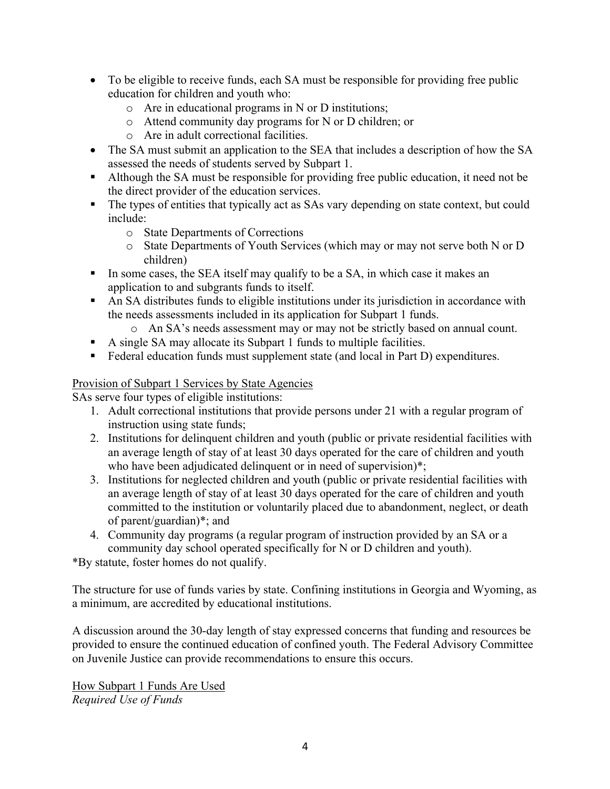- To be eligible to receive funds, each SA must be responsible for providing free public education for children and youth who:
	- o Are in educational programs in N or D institutions;
	- o Attend community day programs for N or D children; or
	- o Are in adult correctional facilities.
- The SA must submit an application to the SEA that includes a description of how the SA assessed the needs of students served by Subpart 1.
- Although the SA must be responsible for providing free public education, it need not be the direct provider of the education services.
- The types of entities that typically act as SAs vary depending on state context, but could include:
	- o State Departments of Corrections
	- o State Departments of Youth Services (which may or may not serve both N or D children)
- In some cases, the SEA itself may qualify to be a SA, in which case it makes an application to and subgrants funds to itself.
- An SA distributes funds to eligible institutions under its jurisdiction in accordance with the needs assessments included in its application for Subpart 1 funds.
	- o An SA's needs assessment may or may not be strictly based on annual count.
- A single SA may allocate its Subpart 1 funds to multiple facilities.
- Federal education funds must supplement state (and local in Part D) expenditures.

### Provision of Subpart 1 Services by State Agencies

SAs serve four types of eligible institutions:

- 1. Adult correctional institutions that provide persons under 21 with a regular program of instruction using state funds;
- 2. Institutions for delinquent children and youth (public or private residential facilities with an average length of stay of at least 30 days operated for the care of children and youth who have been adjudicated delinquent or in need of supervision)\*;
- 3. Institutions for neglected children and youth (public or private residential facilities with an average length of stay of at least 30 days operated for the care of children and youth committed to the institution or voluntarily placed due to abandonment, neglect, or death of parent/guardian)\*; and
- 4. Community day programs (a regular program of instruction provided by an SA or a community day school operated specifically for N or D children and youth).

\*By statute, foster homes do not qualify.

The structure for use of funds varies by state. Confining institutions in Georgia and Wyoming, as a minimum, are accredited by educational institutions.

 on Juvenile Justice can provide recommendations to ensure this occurs. A discussion around the 30-day length of stay expressed concerns that funding and resources be provided to ensure the continued education of confined youth. The Federal Advisory Committee

How Subpart 1 Funds Are Used *Required Use of Funds*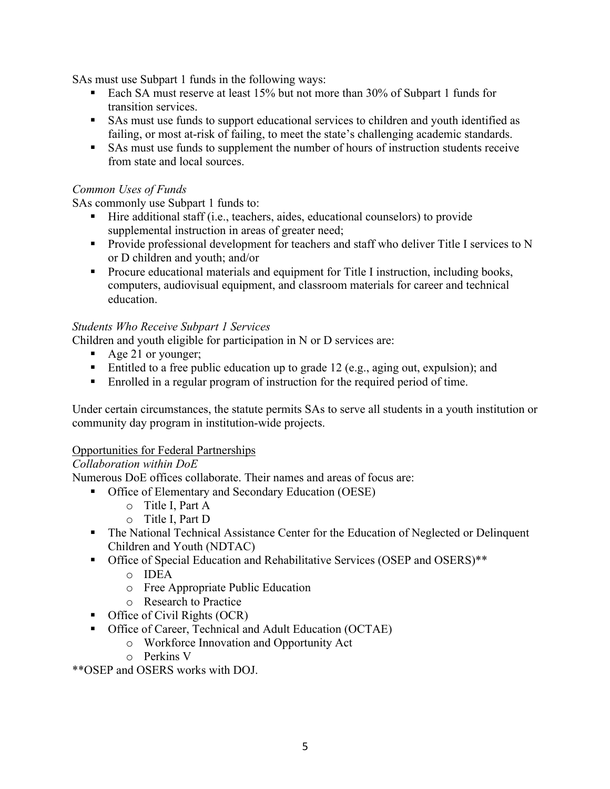SAs must use Subpart 1 funds in the following ways:

- Each SA must reserve at least 15% but not more than 30% of Subpart 1 funds for transition services.
- SAs must use funds to support educational services to children and youth identified as failing, or most at-risk of failing, to meet the state's challenging academic standards.
- SAs must use funds to supplement the number of hours of instruction students receive from state and local sources.

#### *Common Uses of Funds*

SAs commonly use Subpart 1 funds to:

- Hire additional staff (i.e., teachers, aides, educational counselors) to provide supplemental instruction in areas of greater need;
- Provide professional development for teachers and staff who deliver Title I services to N or D children and youth; and/or
- Procure educational materials and equipment for Title I instruction, including books, computers, audiovisual equipment, and classroom materials for career and technical education.

#### *Students Who Receive Subpart 1 Services*

Children and youth eligible for participation in N or D services are:

- Age 21 or younger;
- Entitled to a free public education up to grade 12 (e.g., aging out, expulsion); and
- Enrolled in a regular program of instruction for the required period of time.

Under certain circumstances, the statute permits SAs to serve all students in a youth institution or community day program in institution-wide projects.

#### Opportunities for Federal Partnerships

#### *Collaboration within DoE*

Numerous DoE offices collaborate. Their names and areas of focus are:

- • Office of Elementary and Secondary Education (OESE)
	- o Title I, Part A
	- o Title I, Part D
- The National Technical Assistance Center for the Education of Neglected or Delinquent Children and Youth (NDTAC)
- Office of Special Education and Rehabilitative Services (OSEP and OSERS)\*\*
	- o IDEA
	- o Free Appropriate Public Education
	- o Research to Practice
- Office of Civil Rights (OCR)
- Office of Career, Technical and Adult Education (OCTAE)
	- o Workforce Innovation and Opportunity Act
	- o Perkins V

\*\*OSEP and OSERS works with DOJ.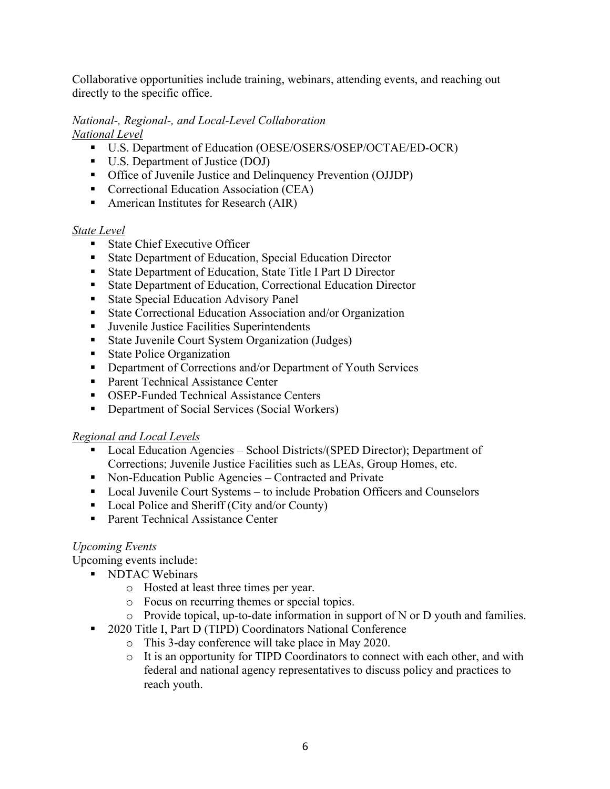directly to the specific office. Collaborative opportunities include training, webinars, attending events, and reaching out

#### *National-, Regional-, and Local-Level Collaboration National Level*

- U.S. Department of Education (OESE/OSERS/OSEP/OCTAE/ED-OCR)
- U.S. Department of Justice (DOJ)
- Office of Juvenile Justice and Delinquency Prevention (OJJDP)
- Correctional Education Association (CEA)
- American Institutes for Research (AIR)

### *State Level*

- State Chief Executive Officer
- State Department of Education, Special Education Director
- State Department of Education, State Title I Part D Director
- State Department of Education, Correctional Education Director
- State Special Education Advisory Panel
- State Correctional Education Association and/or Organization
- Juvenile Justice Facilities Superintendents
- State Juvenile Court System Organization (Judges)
- State Police Organization
- Department of Corrections and/or Department of Youth Services
- Parent Technical Assistance Center
- OSEP-Funded Technical Assistance Centers
- Department of Social Services (Social Workers)

### *Regional and Local Levels*

- • Local Education Agencies School Districts/(SPED Director); Department of Corrections; Juvenile Justice Facilities such as LEAs, Group Homes, etc.
- Non-Education Public Agencies Contracted and Private
- Local Juvenile Court Systems to include Probation Officers and Counselors
- Local Police and Sheriff (City and/or County)
- Parent Technical Assistance Center

### *Upcoming Events*

Upcoming events include:

- NDTAC Webinars
	- o Hosted at least three times per year.
	- o Focus on recurring themes or special topics.
	- o Provide topical, up-to-date information in support of N or D youth and families.
- 2020 Title I, Part D (TIPD) Coordinators National Conference
	- o This 3-day conference will take place in May 2020.
	- o It is an opportunity for TIPD Coordinators to connect with each other, and with federal and national agency representatives to discuss policy and practices to reach youth.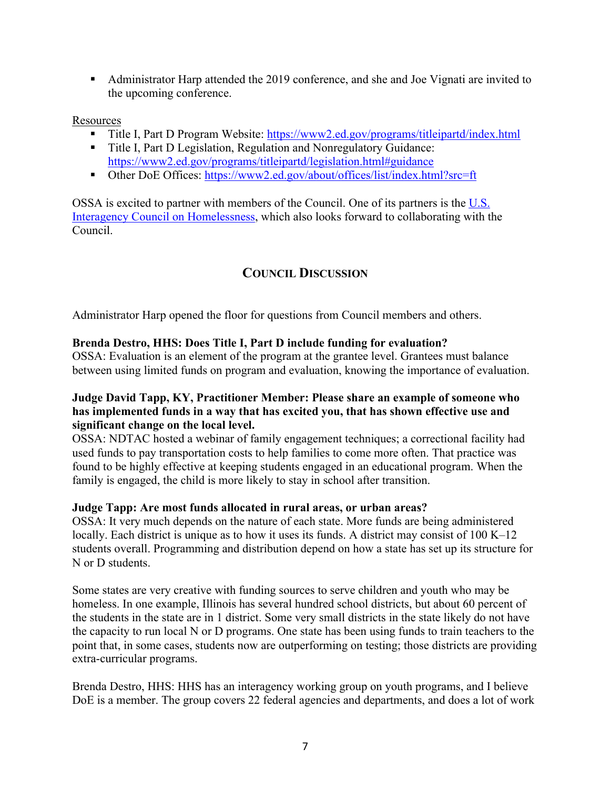• Administrator Harp attended the 2019 conference, and she and Joe Vignati are invited to the upcoming conference.

#### Resources

- Title I, Part D Program Website:<https://www2.ed.gov/programs/titleipartd/index.html>
- Title I, Part D Legislation, Regulation and Nonregulatory Guidance: <https://www2.ed.gov/programs/titleipartd/legislation.html#guidance>
- Other DoE Offices:<https://www2.ed.gov/about/offices/list/index.html?src=ft>

OSSA is excited to partner with members of the Council. One of its partners is the  $U.S.$ Interagency Council on Homelessness, which also looks forward to collaborating with the Council.

# **COUNCIL DISCUSSION**

Administrator Harp opened the floor for questions from Council members and others.

### **Brenda Destro, HHS: Does Title I, Part D include funding for evaluation?**

 OSSA: Evaluation is an element of the program at the grantee level. Grantees must balance between using limited funds on program and evaluation, knowing the importance of evaluation.

#### **has implemented funds in a way that has excited you, that has shown effective use and significant change on the local level. Judge David Tapp, KY, Practitioner Member: Please share an example of someone who**

 OSSA: NDTAC hosted a webinar of family engagement techniques; a correctional facility had found to be highly effective at keeping students engaged in an educational program. When the used funds to pay transportation costs to help families to come more often. That practice was family is engaged, the child is more likely to stay in school after transition.

### **Judge Tapp: Are most funds allocated in rural areas, or urban areas?**

OSSA: It very much depends on the nature of each state. More funds are being administered locally. Each district is unique as to how it uses its funds. A district may consist of 100 K–12 students overall. Programming and distribution depend on how a state has set up its structure for N or D students.

 Some states are very creative with funding sources to serve children and youth who may be the capacity to run local N or D programs. One state has been using funds to train teachers to the point that, in some cases, students now are outperforming on testing; those districts are providing extra-curricular programs. homeless. In one example, Illinois has several hundred school districts, but about 60 percent of the students in the state are in 1 district. Some very small districts in the state likely do not have

Brenda Destro, HHS: HHS has an interagency working group on youth programs, and I believe DoE is a member. The group covers 22 federal agencies and departments, and does a lot of work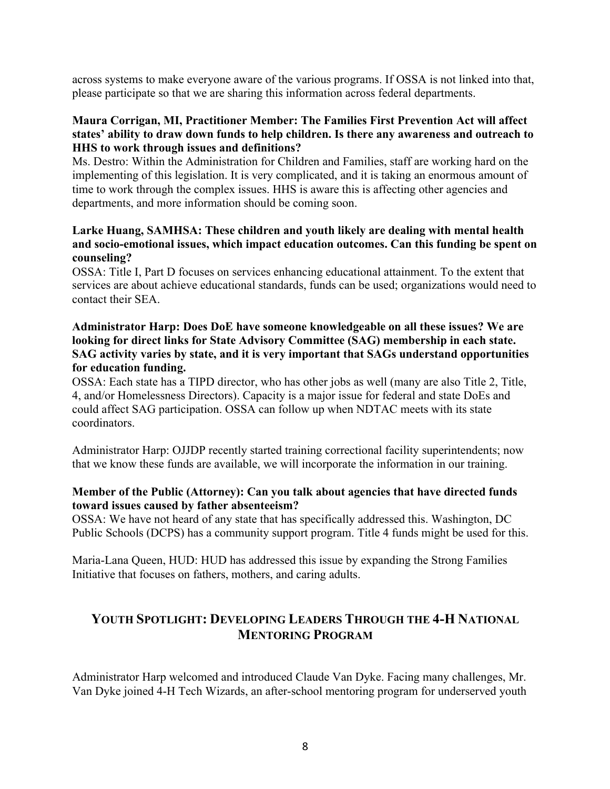across systems to make everyone aware of the various programs. If OSSA is not linked into that, please participate so that we are sharing this information across federal departments.

#### **Maura Corrigan, MI, Practitioner Member: The Families First Prevention Act will affect states' ability to draw down funds to help children. Is there any awareness and outreach to HHS to work through issues and definitions?**

 time to work through the complex issues. HHS is aware this is affecting other agencies and Ms. Destro: Within the Administration for Children and Families, staff are working hard on the implementing of this legislation. It is very complicated, and it is taking an enormous amount of departments, and more information should be coming soon.

#### **and socio-emotional issues, which impact education outcomes. Can this funding be spent on Larke Huang, SAMHSA: These children and youth likely are dealing with mental health counseling?**

 OSSA: Title I, Part D focuses on services enhancing educational attainment. To the extent that contact their SEA. services are about achieve educational standards, funds can be used; organizations would need to

#### **looking for direct links for State Advisory Committee (SAG) membership in each state. Administrator Harp: Does DoE have someone knowledgeable on all these issues? We are SAG activity varies by state, and it is very important that SAGs understand opportunities for education funding.**

 OSSA: Each state has a TIPD director, who has other jobs as well (many are also Title 2, Title, 4, and/or Homelessness Directors). Capacity is a major issue for federal and state DoEs and could affect SAG participation. OSSA can follow up when NDTAC meets with its state coordinators.

 Administrator Harp: OJJDP recently started training correctional facility superintendents; now that we know these funds are available, we will incorporate the information in our training.

#### **Member of the Public (Attorney): Can you talk about agencies that have directed funds toward issues caused by father absenteeism?**

 OSSA: We have not heard of any state that has specifically addressed this. Washington, DC Public Schools (DCPS) has a community support program. Title 4 funds might be used for this.

 Maria-Lana Queen, HUD: HUD has addressed this issue by expanding the Strong Families Initiative that focuses on fathers, mothers, and caring adults.

# **YOUTH SPOTLIGHT: DEVELOPING LEADERS THROUGH THE 4-H NATIONAL MENTORING PROGRAM**

Administrator Harp welcomed and introduced Claude Van Dyke. Facing many challenges, Mr. Van Dyke joined 4-H Tech Wizards, an after-school mentoring program for underserved youth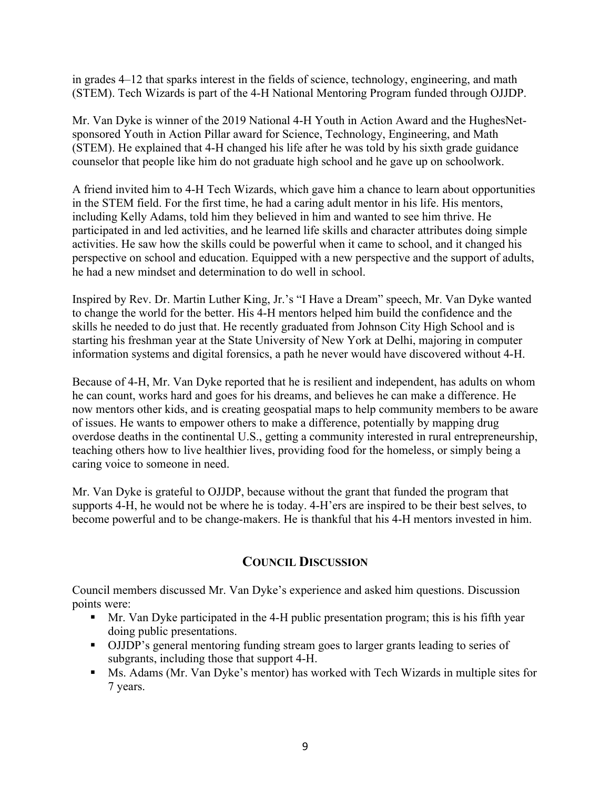in grades 4–12 that sparks interest in the fields of science, technology, engineering, and math (STEM). Tech Wizards is part of the 4-H National Mentoring Program funded through OJJDP.

 (STEM). He explained that 4-H changed his life after he was told by his sixth grade guidance counselor that people like him do not graduate high school and he gave up on schoolwork. Mr. Van Dyke is winner of the 2019 National 4-H Youth in Action Award and the HughesNetsponsored Youth in Action Pillar award for Science, Technology, Engineering, and Math

 participated in and led activities, and he learned life skills and character attributes doing simple activities. He saw how the skills could be powerful when it came to school, and it changed his perspective on school and education. Equipped with a new perspective and the support of adults, A friend invited him to 4-H Tech Wizards, which gave him a chance to learn about opportunities in the STEM field. For the first time, he had a caring adult mentor in his life. His mentors, including Kelly Adams, told him they believed in him and wanted to see him thrive. He he had a new mindset and determination to do well in school.

 Inspired by Rev. Dr. Martin Luther King, Jr.'s "I Have a Dream" speech, Mr. Van Dyke wanted to change the world for the better. His 4-H mentors helped him build the confidence and the skills he needed to do just that. He recently graduated from Johnson City High School and is starting his freshman year at the State University of New York at Delhi, majoring in computer information systems and digital forensics, a path he never would have discovered without 4-H.

 Because of 4-H, Mr. Van Dyke reported that he is resilient and independent, has adults on whom he can count, works hard and goes for his dreams, and believes he can make a difference. He now mentors other kids, and is creating geospatial maps to help community members to be aware of issues. He wants to empower others to make a difference, potentially by mapping drug overdose deaths in the continental U.S., getting a community interested in rural entrepreneurship, teaching others how to live healthier lives, providing food for the homeless, or simply being a caring voice to someone in need.

 Mr. Van Dyke is grateful to OJJDP, because without the grant that funded the program that become powerful and to be change-makers. He is thankful that his 4-H mentors invested in him. supports 4-H, he would not be where he is today. 4-H'ers are inspired to be their best selves, to

## **COUNCIL DISCUSSION**

Council members discussed Mr. Van Dyke's experience and asked him questions. Discussion points were:

- Mr. Van Dyke participated in the 4-H public presentation program; this is his fifth year doing public presentations.
- OJJDP's general mentoring funding stream goes to larger grants leading to series of subgrants, including those that support 4-H.
- • Ms. Adams (Mr. Van Dyke's mentor) has worked with Tech Wizards in multiple sites for 7 years.